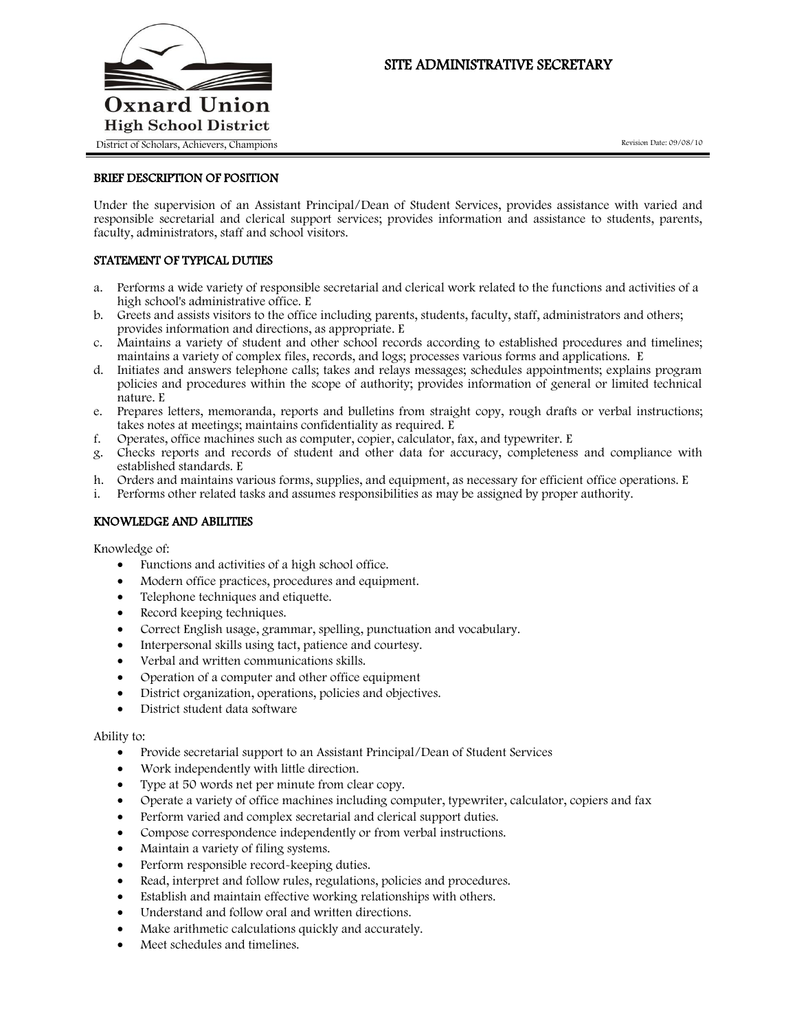

# SITE ADMINISTRATIVE SECRETARY

### BRIEF DESCRIPTION OF POSITION

Under the supervision of an Assistant Principal/Dean of Student Services, provides assistance with varied and responsible secretarial and clerical support services; provides information and assistance to students, parents, faculty, administrators, staff and school visitors.

## STATEMENT OF TYPICAL DUTIES

- a. Performs a wide variety of responsible secretarial and clerical work related to the functions and activities of a high school's administrative office. E
- b. Greets and assists visitors to the office including parents, students, faculty, staff, administrators and others; provides information and directions, as appropriate. E
- c. Maintains a variety of student and other school records according to established procedures and timelines; maintains a variety of complex files, records, and logs; processes various forms and applications. E
- d. Initiates and answers telephone calls; takes and relays messages; schedules appointments; explains program policies and procedures within the scope of authority; provides information of general or limited technical nature. E
- e. Prepares letters, memoranda, reports and bulletins from straight copy, rough drafts or verbal instructions; takes notes at meetings; maintains confidentiality as required. E
- f. Operates, office machines such as computer, copier, calculator, fax, and typewriter. E
- g. Checks reports and records of student and other data for accuracy, completeness and compliance with established standards. E
- h. Orders and maintains various forms, supplies, and equipment, as necessary for efficient office operations. E
- i. Performs other related tasks and assumes responsibilities as may be assigned by proper authority.

### KNOWLEDGE AND ABILITIES

Knowledge of:

- Functions and activities of a high school office.
- Modern office practices, procedures and equipment.
- Telephone techniques and etiquette.
- Record keeping techniques.
- Correct English usage, grammar, spelling, punctuation and vocabulary.
- Interpersonal skills using tact, patience and courtesy.
- Verbal and written communications skills.
- Operation of a computer and other office equipment
- District organization, operations, policies and objectives.
- District student data software

#### Ability to:

- Provide secretarial support to an Assistant Principal/Dean of Student Services
- Work independently with little direction.
- Type at 50 words net per minute from clear copy.
- Operate a variety of office machines including computer, typewriter, calculator, copiers and fax
- Perform varied and complex secretarial and clerical support duties.
- Compose correspondence independently or from verbal instructions.
- Maintain a variety of filing systems.
- Perform responsible record-keeping duties.
- Read, interpret and follow rules, regulations, policies and procedures.
- Establish and maintain effective working relationships with others.
- Understand and follow oral and written directions.
- Make arithmetic calculations quickly and accurately.
- Meet schedules and timelines.